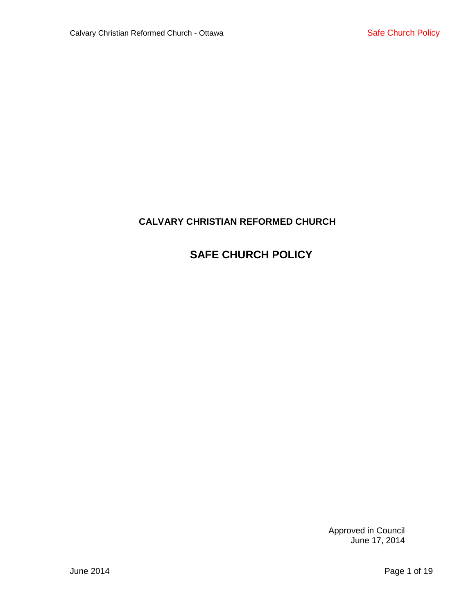# **CALVARY CHRISTIAN REFORMED CHURCH**

# **SAFE CHURCH POLICY**

Approved in Council June 17, 2014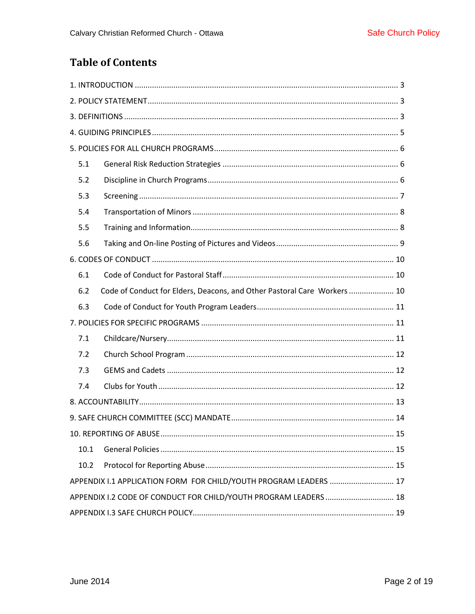# **Table of Contents**

| 5.1                                                               |                                                                          |  |  |  |  |
|-------------------------------------------------------------------|--------------------------------------------------------------------------|--|--|--|--|
| 5.2                                                               |                                                                          |  |  |  |  |
| 5.3                                                               |                                                                          |  |  |  |  |
| 5.4                                                               |                                                                          |  |  |  |  |
| 5.5                                                               |                                                                          |  |  |  |  |
| 5.6                                                               |                                                                          |  |  |  |  |
|                                                                   |                                                                          |  |  |  |  |
| 6.1                                                               |                                                                          |  |  |  |  |
| 6.2                                                               | Code of Conduct for Elders, Deacons, and Other Pastoral Care Workers  10 |  |  |  |  |
| 6.3                                                               |                                                                          |  |  |  |  |
|                                                                   |                                                                          |  |  |  |  |
| 7.1                                                               |                                                                          |  |  |  |  |
| 7.2                                                               |                                                                          |  |  |  |  |
| 7.3                                                               |                                                                          |  |  |  |  |
| 7.4                                                               |                                                                          |  |  |  |  |
|                                                                   |                                                                          |  |  |  |  |
|                                                                   |                                                                          |  |  |  |  |
|                                                                   |                                                                          |  |  |  |  |
| 10.1                                                              |                                                                          |  |  |  |  |
| 10.2                                                              |                                                                          |  |  |  |  |
| APPENDIX I.1 APPLICATION FORM FOR CHILD/YOUTH PROGRAM LEADERS  17 |                                                                          |  |  |  |  |
| APPENDIX I.2 CODE OF CONDUCT FOR CHILD/YOUTH PROGRAM LEADERS  18  |                                                                          |  |  |  |  |
|                                                                   |                                                                          |  |  |  |  |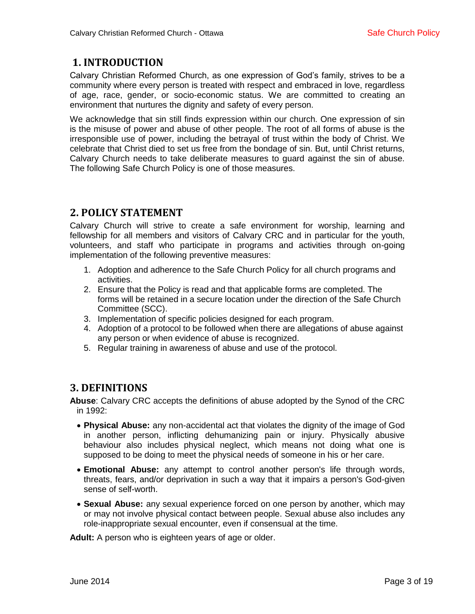# <span id="page-2-0"></span>**1. INTRODUCTION**

Calvary Christian Reformed Church, as one expression of God's family, strives to be a community where every person is treated with respect and embraced in love, regardless of age, race, gender, or socio-economic status. We are committed to creating an environment that nurtures the dignity and safety of every person.

We acknowledge that sin still finds expression within our church. One expression of sin is the misuse of power and abuse of other people. The root of all forms of abuse is the irresponsible use of power, including the betrayal of trust within the body of Christ. We celebrate that Christ died to set us free from the bondage of sin. But, until Christ returns, Calvary Church needs to take deliberate measures to guard against the sin of abuse. The following Safe Church Policy is one of those measures.

# <span id="page-2-1"></span>**2. POLICY STATEMENT**

Calvary Church will strive to create a safe environment for worship, learning and fellowship for all members and visitors of Calvary CRC and in particular for the youth, volunteers, and staff who participate in programs and activities through on-going implementation of the following preventive measures:

- 1. Adoption and adherence to the Safe Church Policy for all church programs and activities.
- 2. Ensure that the Policy is read and that applicable forms are completed. The forms will be retained in a secure location under the direction of the Safe Church Committee (SCC).
- 3. Implementation of specific policies designed for each program.
- 4. Adoption of a protocol to be followed when there are allegations of abuse against any person or when evidence of abuse is recognized.
- 5. Regular training in awareness of abuse and use of the protocol.

# <span id="page-2-2"></span>**3. DEFINITIONS**

**Abuse**: Calvary CRC accepts the definitions of abuse adopted by the Synod of the CRC in 1992:

- **Physical Abuse:** any non-accidental act that violates the dignity of the image of God in another person, inflicting dehumanizing pain or injury. Physically abusive behaviour also includes physical neglect, which means not doing what one is supposed to be doing to meet the physical needs of someone in his or her care.
- **Emotional Abuse:** any attempt to control another person's life through words, threats, fears, and/or deprivation in such a way that it impairs a person's God-given sense of self-worth.
- **Sexual Abuse:** any sexual experience forced on one person by another, which may or may not involve physical contact between people. Sexual abuse also includes any role-inappropriate sexual encounter, even if consensual at the time.

**Adult:** A person who is eighteen years of age or older.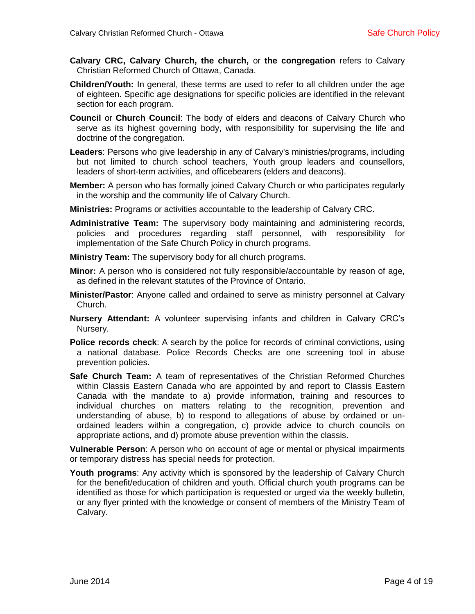- **Calvary CRC, Calvary Church, the church,** or **the congregation** refers to Calvary Christian Reformed Church of Ottawa, Canada.
- **Children/Youth:** In general, these terms are used to refer to all children under the age of eighteen. Specific age designations for specific policies are identified in the relevant section for each program.
- **Council** or **Church Council**: The body of elders and deacons of Calvary Church who serve as its highest governing body, with responsibility for supervising the life and doctrine of the congregation.
- **Leaders**: Persons who give leadership in any of Calvary's ministries/programs, including but not limited to church school teachers, Youth group leaders and counsellors, leaders of short-term activities, and officebearers (elders and deacons).
- **Member:** A person who has formally joined Calvary Church or who participates regularly in the worship and the community life of Calvary Church.
- **Ministries:** Programs or activities accountable to the leadership of Calvary CRC.
- **Administrative Team:** The supervisory body maintaining and administering records, policies and procedures regarding staff personnel, with responsibility for implementation of the Safe Church Policy in church programs.
- **Ministry Team:** The supervisory body for all church programs.
- **Minor:** A person who is considered not fully responsible/accountable by reason of age, as defined in the relevant statutes of the Province of Ontario.
- **Minister/Pastor**: Anyone called and ordained to serve as ministry personnel at Calvary Church.
- **Nursery Attendant:** A volunteer supervising infants and children in Calvary CRC's Nursery.
- **Police records check**: A search by the police for records of criminal convictions, using a national database. Police Records Checks are one screening tool in abuse prevention policies.
- **Safe Church Team:** A team of representatives of the Christian Reformed Churches within Classis Eastern Canada who are appointed by and report to Classis Eastern Canada with the mandate to a) provide information, training and resources to individual churches on matters relating to the recognition, prevention and understanding of abuse, b) to respond to allegations of abuse by ordained or unordained leaders within a congregation, c) provide advice to church councils on appropriate actions, and d) promote abuse prevention within the classis.

**Vulnerable Person**: A person who on account of age or mental or physical impairments or temporary distress has special needs for protection.

**Youth programs**: Any activity which is sponsored by the leadership of Calvary Church for the benefit/education of children and youth. Official church youth programs can be identified as those for which participation is requested or urged via the weekly bulletin, or any flyer printed with the knowledge or consent of members of the Ministry Team of Calvary.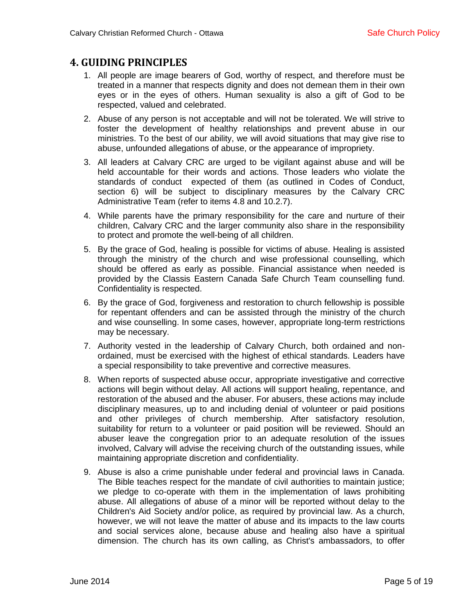### <span id="page-4-0"></span>**4. GUIDING PRINCIPLES**

- 1. All people are image bearers of God, worthy of respect, and therefore must be treated in a manner that respects dignity and does not demean them in their own eyes or in the eyes of others. Human sexuality is also a gift of God to be respected, valued and celebrated.
- 2. Abuse of any person is not acceptable and will not be tolerated. We will strive to foster the development of healthy relationships and prevent abuse in our ministries. To the best of our ability, we will avoid situations that may give rise to abuse, unfounded allegations of abuse, or the appearance of impropriety.
- 3. All leaders at Calvary CRC are urged to be vigilant against abuse and will be held accountable for their words and actions. Those leaders who violate the standards of conduct expected of them (as outlined in Codes of Conduct, section 6) will be subject to disciplinary measures by the Calvary CRC Administrative Team (refer to items 4.8 and 10.2.7).
- 4. While parents have the primary responsibility for the care and nurture of their children, Calvary CRC and the larger community also share in the responsibility to protect and promote the well-being of all children.
- 5. By the grace of God, healing is possible for victims of abuse. Healing is assisted through the ministry of the church and wise professional counselling, which should be offered as early as possible. Financial assistance when needed is provided by the Classis Eastern Canada Safe Church Team counselling fund. Confidentiality is respected.
- 6. By the grace of God, forgiveness and restoration to church fellowship is possible for repentant offenders and can be assisted through the ministry of the church and wise counselling. In some cases, however, appropriate long-term restrictions may be necessary.
- 7. Authority vested in the leadership of Calvary Church, both ordained and nonordained, must be exercised with the highest of ethical standards. Leaders have a special responsibility to take preventive and corrective measures.
- 8. When reports of suspected abuse occur, appropriate investigative and corrective actions will begin without delay. All actions will support healing, repentance, and restoration of the abused and the abuser. For abusers, these actions may include disciplinary measures, up to and including denial of volunteer or paid positions and other privileges of church membership. After satisfactory resolution, suitability for return to a volunteer or paid position will be reviewed. Should an abuser leave the congregation prior to an adequate resolution of the issues involved, Calvary will advise the receiving church of the outstanding issues, while maintaining appropriate discretion and confidentiality.
- 9. Abuse is also a crime punishable under federal and provincial laws in Canada. The Bible teaches respect for the mandate of civil authorities to maintain justice; we pledge to co-operate with them in the implementation of laws prohibiting abuse. All allegations of abuse of a minor will be reported without delay to the Children's Aid Society and/or police, as required by provincial law. As a church, however, we will not leave the matter of abuse and its impacts to the law courts and social services alone, because abuse and healing also have a spiritual dimension. The church has its own calling, as Christ's ambassadors, to offer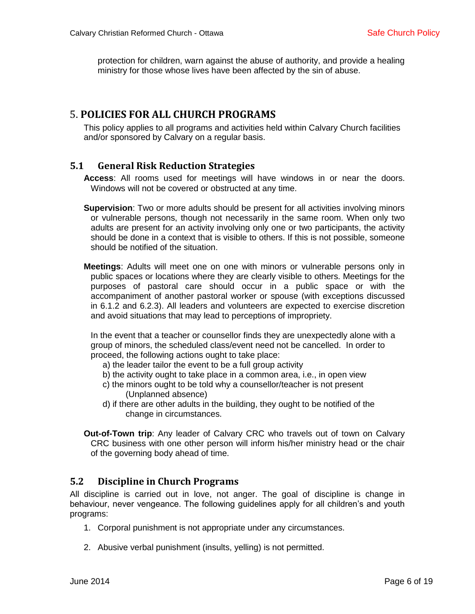protection for children, warn against the abuse of authority, and provide a healing ministry for those whose lives have been affected by the sin of abuse.

### <span id="page-5-0"></span>5. **POLICIES FOR ALL CHURCH PROGRAMS**

This policy applies to all programs and activities held within Calvary Church facilities and/or sponsored by Calvary on a regular basis.

#### <span id="page-5-1"></span>**5.1 General Risk Reduction Strategies**

**Access**: All rooms used for meetings will have windows in or near the doors. Windows will not be covered or obstructed at any time.

**Supervision**: Two or more adults should be present for all activities involving minors or vulnerable persons, though not necessarily in the same room. When only two adults are present for an activity involving only one or two participants, the activity should be done in a context that is visible to others. If this is not possible, someone should be notified of the situation.

**Meetings**: Adults will meet one on one with minors or vulnerable persons only in public spaces or locations where they are clearly visible to others. Meetings for the purposes of pastoral care should occur in a public space or with the accompaniment of another pastoral worker or spouse (with exceptions discussed in 6.1.2 and 6.2.3). All leaders and volunteers are expected to exercise discretion and avoid situations that may lead to perceptions of impropriety.

In the event that a teacher or counsellor finds they are unexpectedly alone with a group of minors, the scheduled class/event need not be cancelled. In order to proceed, the following actions ought to take place:

- a) the leader tailor the event to be a full group activity
- b) the activity ought to take place in a common area, i.e., in open view
- c) the minors ought to be told why a counsellor/teacher is not present (Unplanned absence)
- d) if there are other adults in the building, they ought to be notified of the change in circumstances.

**Out-of-Town trip**: Any leader of Calvary CRC who travels out of town on Calvary CRC business with one other person will inform his/her ministry head or the chair of the governing body ahead of time.

#### <span id="page-5-2"></span>**5.2 Discipline in Church Programs**

All discipline is carried out in love, not anger. The goal of discipline is change in behaviour, never vengeance. The following guidelines apply for all children's and youth programs:

- 1. Corporal punishment is not appropriate under any circumstances.
- 2. Abusive verbal punishment (insults, yelling) is not permitted.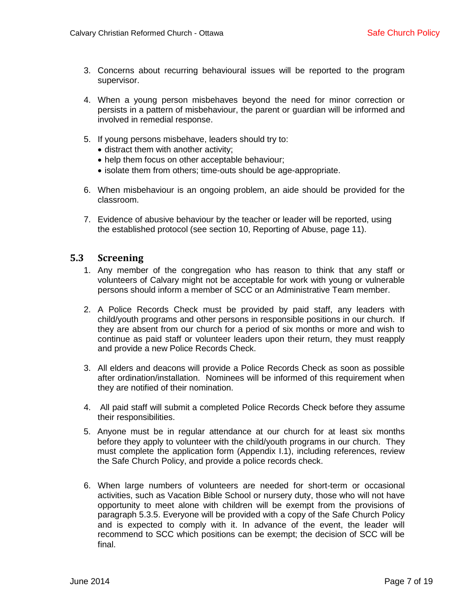- 3. Concerns about recurring behavioural issues will be reported to the program supervisor.
- 4. When a young person misbehaves beyond the need for minor correction or persists in a pattern of misbehaviour, the parent or guardian will be informed and involved in remedial response.
- 5. If young persons misbehave, leaders should try to:
	- distract them with another activity;
	- help them focus on other acceptable behaviour;
	- isolate them from others; time-outs should be age-appropriate.
- 6. When misbehaviour is an ongoing problem, an aide should be provided for the classroom.
- 7. Evidence of abusive behaviour by the teacher or leader will be reported, using the established protocol (see section 10, Reporting of Abuse, page 11).

#### <span id="page-6-0"></span>**5.3 Screening**

- 1. Any member of the congregation who has reason to think that any staff or volunteers of Calvary might not be acceptable for work with young or vulnerable persons should inform a member of SCC or an Administrative Team member.
- 2. A Police Records Check must be provided by paid staff, any leaders with child/youth programs and other persons in responsible positions in our church. If they are absent from our church for a period of six months or more and wish to continue as paid staff or volunteer leaders upon their return, they must reapply and provide a new Police Records Check.
- 3. All elders and deacons will provide a Police Records Check as soon as possible after ordination/installation. Nominees will be informed of this requirement when they are notified of their nomination.
- 4. All paid staff will submit a completed Police Records Check before they assume their responsibilities.
- 5. Anyone must be in regular attendance at our church for at least six months before they apply to volunteer with the child/youth programs in our church. They must complete the application form (Appendix I.1), including references, review the Safe Church Policy, and provide a police records check.
- 6. When large numbers of volunteers are needed for short-term or occasional activities, such as Vacation Bible School or nursery duty, those who will not have opportunity to meet alone with children will be exempt from the provisions of paragraph 5.3.5. Everyone will be provided with a copy of the Safe Church Policy and is expected to comply with it. In advance of the event, the leader will recommend to SCC which positions can be exempt; the decision of SCC will be final.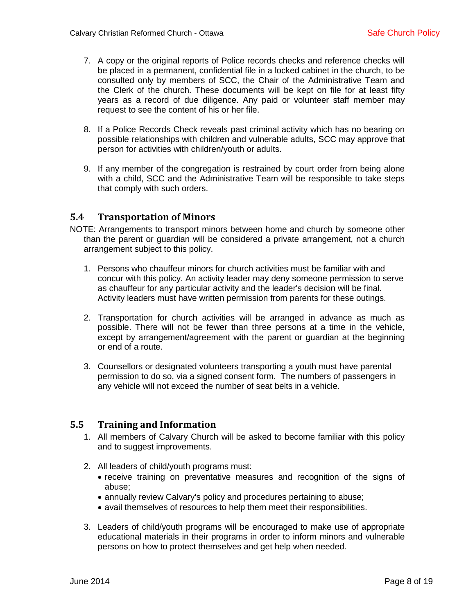- 7. A copy or the original reports of Police records checks and reference checks will be placed in a permanent, confidential file in a locked cabinet in the church, to be consulted only by members of SCC, the Chair of the Administrative Team and the Clerk of the church. These documents will be kept on file for at least fifty years as a record of due diligence. Any paid or volunteer staff member may request to see the content of his or her file.
- 8. If a Police Records Check reveals past criminal activity which has no bearing on possible relationships with children and vulnerable adults, SCC may approve that person for activities with children/youth or adults.
- 9. If any member of the congregation is restrained by court order from being alone with a child, SCC and the Administrative Team will be responsible to take steps that comply with such orders.

#### <span id="page-7-0"></span>**5.4 Transportation of Minors**

- NOTE: Arrangements to transport minors between home and church by someone other than the parent or guardian will be considered a private arrangement, not a church arrangement subject to this policy.
	- 1. Persons who chauffeur minors for church activities must be familiar with and concur with this policy. An activity leader may deny someone permission to serve as chauffeur for any particular activity and the leader's decision will be final. Activity leaders must have written permission from parents for these outings.
	- 2. Transportation for church activities will be arranged in advance as much as possible. There will not be fewer than three persons at a time in the vehicle, except by arrangement/agreement with the parent or guardian at the beginning or end of a route.
	- 3. Counsellors or designated volunteers transporting a youth must have parental permission to do so, via a signed consent form. The numbers of passengers in any vehicle will not exceed the number of seat belts in a vehicle.

#### <span id="page-7-1"></span>**5.5 Training and Information**

- 1. All members of Calvary Church will be asked to become familiar with this policy and to suggest improvements.
- 2. All leaders of child/youth programs must:
	- receive training on preventative measures and recognition of the signs of abuse;
	- annually review Calvary's policy and procedures pertaining to abuse;
	- avail themselves of resources to help them meet their responsibilities.
- 3. Leaders of child/youth programs will be encouraged to make use of appropriate educational materials in their programs in order to inform minors and vulnerable persons on how to protect themselves and get help when needed.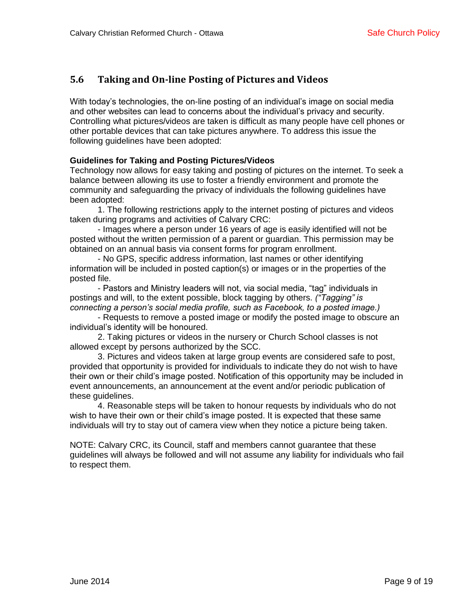### <span id="page-8-0"></span>**5.6 Taking and On-line Posting of Pictures and Videos**

With today's technologies, the on-line posting of an individual's image on social media and other websites can lead to concerns about the individual's privacy and security. Controlling what pictures/videos are taken is difficult as many people have cell phones or other portable devices that can take pictures anywhere. To address this issue the following guidelines have been adopted:

#### **Guidelines for Taking and Posting Pictures/Videos**

Technology now allows for easy taking and posting of pictures on the internet. To seek a balance between allowing its use to foster a friendly environment and promote the community and safeguarding the privacy of individuals the following guidelines have been adopted:

1. The following restrictions apply to the internet posting of pictures and videos taken during programs and activities of Calvary CRC:

- Images where a person under 16 years of age is easily identified will not be posted without the written permission of a parent or guardian. This permission may be obtained on an annual basis via consent forms for program enrollment.

- No GPS, specific address information, last names or other identifying information will be included in posted caption(s) or images or in the properties of the posted file.

- Pastors and Ministry leaders will not, via social media, "tag" individuals in postings and will, to the extent possible, block tagging by others. *("Tagging" is connecting a person's social media profile, such as Facebook, to a posted image.)* 

- Requests to remove a posted image or modify the posted image to obscure an individual's identity will be honoured.

2. Taking pictures or videos in the nursery or Church School classes is not allowed except by persons authorized by the SCC.

3. Pictures and videos taken at large group events are considered safe to post, provided that opportunity is provided for individuals to indicate they do not wish to have their own or their child's image posted. Notification of this opportunity may be included in event announcements, an announcement at the event and/or periodic publication of these guidelines.

4. Reasonable steps will be taken to honour requests by individuals who do not wish to have their own or their child's image posted. It is expected that these same individuals will try to stay out of camera view when they notice a picture being taken.

NOTE: Calvary CRC, its Council, staff and members cannot guarantee that these guidelines will always be followed and will not assume any liability for individuals who fail to respect them.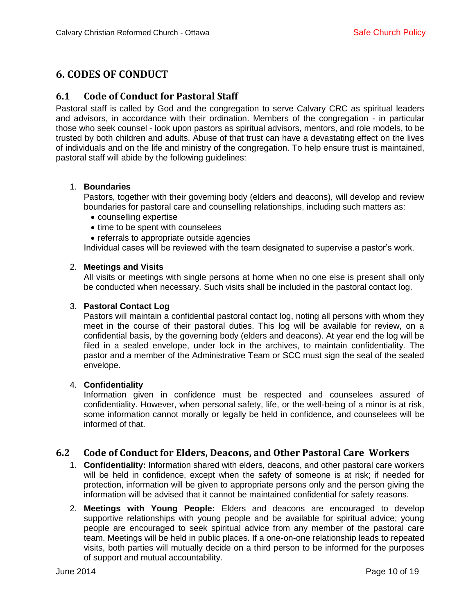## <span id="page-9-0"></span>**6. CODES OF CONDUCT**

#### <span id="page-9-1"></span>**6.1 Code of Conduct for Pastoral Staff**

Pastoral staff is called by God and the congregation to serve Calvary CRC as spiritual leaders and advisors, in accordance with their ordination. Members of the congregation - in particular those who seek counsel - look upon pastors as spiritual advisors, mentors, and role models, to be trusted by both children and adults. Abuse of that trust can have a devastating effect on the lives of individuals and on the life and ministry of the congregation. To help ensure trust is maintained, pastoral staff will abide by the following guidelines:

#### 1. **Boundaries**

Pastors, together with their governing body (elders and deacons), will develop and review boundaries for pastoral care and counselling relationships, including such matters as:

- counselling expertise
- time to be spent with counselees
- referrals to appropriate outside agencies

Individual cases will be reviewed with the team designated to supervise a pastor's work.

#### 2. **Meetings and Visits**

All visits or meetings with single persons at home when no one else is present shall only be conducted when necessary. Such visits shall be included in the pastoral contact log.

#### 3. **Pastoral Contact Log**

Pastors will maintain a confidential pastoral contact log, noting all persons with whom they meet in the course of their pastoral duties. This log will be available for review, on a confidential basis, by the governing body (elders and deacons). At year end the log will be filed in a sealed envelope, under lock in the archives, to maintain confidentiality. The pastor and a member of the Administrative Team or SCC must sign the seal of the sealed envelope.

#### 4. **Confidentiality**

Information given in confidence must be respected and counselees assured of confidentiality. However, when personal safety, life, or the well-being of a minor is at risk, some information cannot morally or legally be held in confidence, and counselees will be informed of that.

### <span id="page-9-2"></span>**6.2 Code of Conduct for Elders, Deacons, and Other Pastoral Care Workers**

- 1. **Confidentiality:** Information shared with elders, deacons, and other pastoral care workers will be held in confidence, except when the safety of someone is at risk; if needed for protection, information will be given to appropriate persons only and the person giving the information will be advised that it cannot be maintained confidential for safety reasons.
- 2. **Meetings with Young People:** Elders and deacons are encouraged to develop supportive relationships with young people and be available for spiritual advice; young people are encouraged to seek spiritual advice from any member of the pastoral care team. Meetings will be held in public places. If a one-on-one relationship leads to repeated visits, both parties will mutually decide on a third person to be informed for the purposes of support and mutual accountability.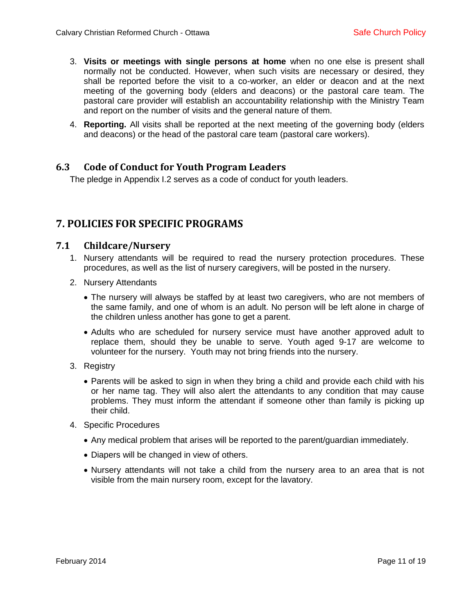- 3. **Visits or meetings with single persons at home** when no one else is present shall normally not be conducted. However, when such visits are necessary or desired, they shall be reported before the visit to a co-worker, an elder or deacon and at the next meeting of the governing body (elders and deacons) or the pastoral care team. The pastoral care provider will establish an accountability relationship with the Ministry Team and report on the number of visits and the general nature of them.
- 4. **Reporting.** All visits shall be reported at the next meeting of the governing body (elders and deacons) or the head of the pastoral care team (pastoral care workers).

#### <span id="page-10-0"></span>**6.3 Code of Conduct for Youth Program Leaders**

The pledge in Appendix I.2 serves as a code of conduct for youth leaders.

### <span id="page-10-1"></span>**7. POLICIES FOR SPECIFIC PROGRAMS**

#### <span id="page-10-2"></span>**7.1 Childcare/Nursery**

- 1. Nursery attendants will be required to read the nursery protection procedures. These procedures, as well as the list of nursery caregivers, will be posted in the nursery.
- 2. Nursery Attendants
	- The nursery will always be staffed by at least two caregivers, who are not members of the same family, and one of whom is an adult. No person will be left alone in charge of the children unless another has gone to get a parent.
	- Adults who are scheduled for nursery service must have another approved adult to replace them, should they be unable to serve. Youth aged 9-17 are welcome to volunteer for the nursery. Youth may not bring friends into the nursery.
- 3. Registry
	- Parents will be asked to sign in when they bring a child and provide each child with his or her name tag. They will also alert the attendants to any condition that may cause problems. They must inform the attendant if someone other than family is picking up their child.
- <span id="page-10-3"></span>4. Specific Procedures
	- Any medical problem that arises will be reported to the parent/guardian immediately.
	- Diapers will be changed in view of others.
	- Nursery attendants will not take a child from the nursery area to an area that is not visible from the main nursery room, except for the lavatory.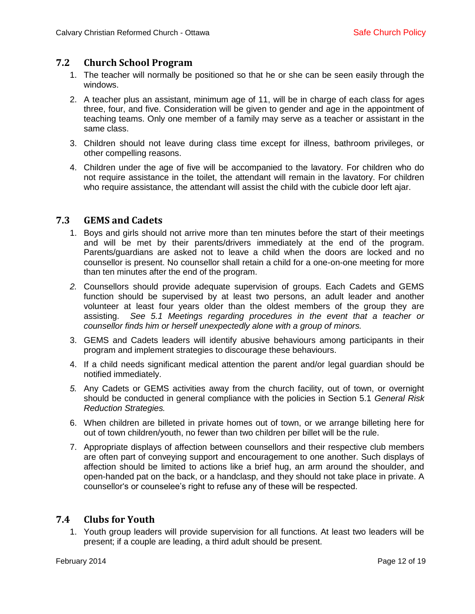#### **7.2 Church School Program**

- 1. The teacher will normally be positioned so that he or she can be seen easily through the windows.
- 2. A teacher plus an assistant, minimum age of 11, will be in charge of each class for ages three, four, and five. Consideration will be given to gender and age in the appointment of teaching teams. Only one member of a family may serve as a teacher or assistant in the same class.
- 3. Children should not leave during class time except for illness, bathroom privileges, or other compelling reasons.
- 4. Children under the age of five will be accompanied to the lavatory. For children who do not require assistance in the toilet, the attendant will remain in the lavatory. For children who require assistance, the attendant will assist the child with the cubicle door left ajar.

#### <span id="page-11-0"></span>**7.3 GEMS and Cadets**

- 1. Boys and girls should not arrive more than ten minutes before the start of their meetings and will be met by their parents/drivers immediately at the end of the program. Parents/guardians are asked not to leave a child when the doors are locked and no counsellor is present. No counsellor shall retain a child for a one-on-one meeting for more than ten minutes after the end of the program.
- *2.* Counsellors should provide adequate supervision of groups. Each Cadets and GEMS function should be supervised by at least two persons, an adult leader and another volunteer at least four years older than the oldest members of the group they are assisting. *See 5.1 Meetings regarding procedures in the event that a teacher or counsellor finds him or herself unexpectedly alone with a group of minors.*
- 3. GEMS and Cadets leaders will identify abusive behaviours among participants in their program and implement strategies to discourage these behaviours.
- 4. If a child needs significant medical attention the parent and/or legal guardian should be notified immediately.
- *5.* Any Cadets or GEMS activities away from the church facility, out of town, or overnight should be conducted in general compliance with the policies in Section 5.1 *General Risk Reduction Strategies.*
- 6. When children are billeted in private homes out of town, or we arrange billeting here for out of town children/youth, no fewer than two children per billet will be the rule.
- 7. Appropriate displays of affection between counsellors and their respective club members are often part of conveying support and encouragement to one another. Such displays of affection should be limited to actions like a brief hug, an arm around the shoulder, and open-handed pat on the back, or a handclasp, and they should not take place in private. A counsellor's or counselee's right to refuse any of these will be respected.

### <span id="page-11-1"></span>**7.4 Clubs for Youth**

1. Youth group leaders will provide supervision for all functions. At least two leaders will be present; if a couple are leading, a third adult should be present.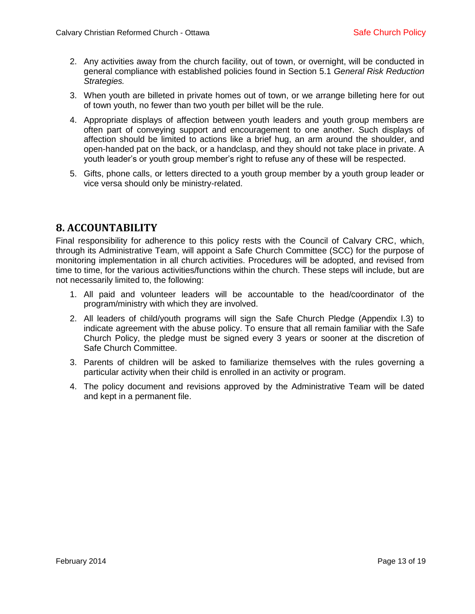- 2. Any activities away from the church facility, out of town, or overnight, will be conducted in general compliance with established policies found in Section 5.1 *General Risk Reduction Strategies.*
- 3. When youth are billeted in private homes out of town, or we arrange billeting here for out of town youth, no fewer than two youth per billet will be the rule.
- 4. Appropriate displays of affection between youth leaders and youth group members are often part of conveying support and encouragement to one another. Such displays of affection should be limited to actions like a brief hug, an arm around the shoulder, and open-handed pat on the back, or a handclasp, and they should not take place in private. A youth leader's or youth group member's right to refuse any of these will be respected.
- 5. Gifts, phone calls, or letters directed to a youth group member by a youth group leader or vice versa should only be ministry-related.

### <span id="page-12-0"></span>**8. ACCOUNTABILITY**

Final responsibility for adherence to this policy rests with the Council of Calvary CRC, which, through its Administrative Team, will appoint a Safe Church Committee (SCC) for the purpose of monitoring implementation in all church activities. Procedures will be adopted, and revised from time to time, for the various activities/functions within the church. These steps will include, but are not necessarily limited to, the following:

- 1. All paid and volunteer leaders will be accountable to the head/coordinator of the program/ministry with which they are involved.
- 2. All leaders of child/youth programs will sign the Safe Church Pledge (Appendix I.3) to indicate agreement with the abuse policy. To ensure that all remain familiar with the Safe Church Policy, the pledge must be signed every 3 years or sooner at the discretion of Safe Church Committee.
- 3. Parents of children will be asked to familiarize themselves with the rules governing a particular activity when their child is enrolled in an activity or program.
- <span id="page-12-1"></span>4. The policy document and revisions approved by the Administrative Team will be dated and kept in a permanent file.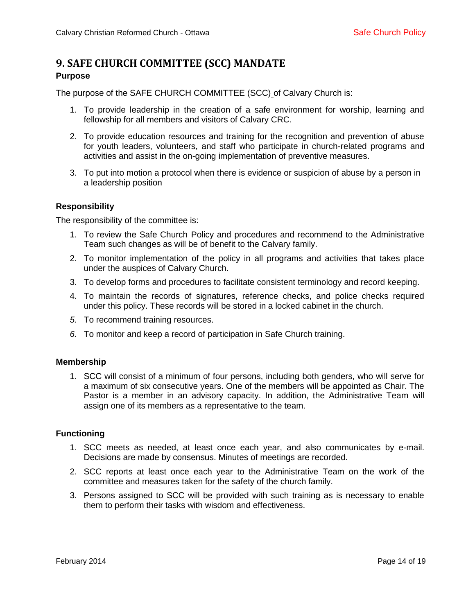### **9. SAFE CHURCH COMMITTEE (SCC) MANDATE Purpose**

The purpose of the SAFE CHURCH COMMITTEE (SCC) of Calvary Church is:

- 1. To provide leadership in the creation of a safe environment for worship, learning and fellowship for all members and visitors of Calvary CRC.
- 2. To provide education resources and training for the recognition and prevention of abuse for youth leaders, volunteers, and staff who participate in church-related programs and activities and assist in the on-going implementation of preventive measures.
- 3. To put into motion a protocol when there is evidence or suspicion of abuse by a person in a leadership position

#### **Responsibility**

The responsibility of the committee is:

- 1. To review the Safe Church Policy and procedures and recommend to the Administrative Team such changes as will be of benefit to the Calvary family.
- 2. To monitor implementation of the policy in all programs and activities that takes place under the auspices of Calvary Church.
- 3. To develop forms and procedures to facilitate consistent terminology and record keeping.
- 4. To maintain the records of signatures, reference checks, and police checks required under this policy. These records will be stored in a locked cabinet in the church.
- *5.* To recommend training resources.
- *6.* To monitor and keep a record of participation in Safe Church training.

#### **Membership**

1. SCC will consist of a minimum of four persons, including both genders, who will serve for a maximum of six consecutive years. One of the members will be appointed as Chair. The Pastor is a member in an advisory capacity. In addition, the Administrative Team will assign one of its members as a representative to the team.

#### **Functioning**

- 1. SCC meets as needed, at least once each year, and also communicates by e-mail. Decisions are made by consensus. Minutes of meetings are recorded.
- 2. SCC reports at least once each year to the Administrative Team on the work of the committee and measures taken for the safety of the church family.
- <span id="page-13-0"></span>3. Persons assigned to SCC will be provided with such training as is necessary to enable them to perform their tasks with wisdom and effectiveness.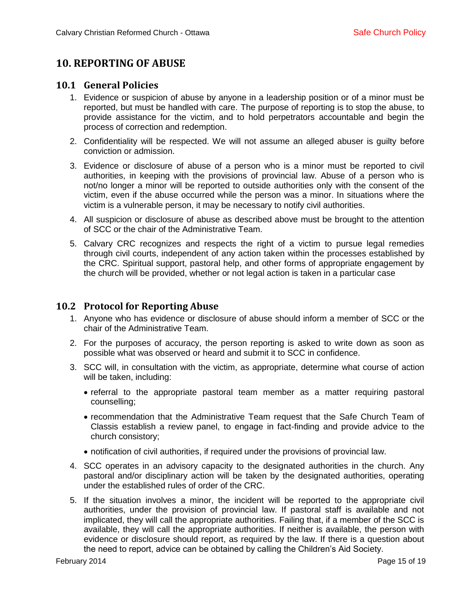# **10. REPORTING OF ABUSE**

#### <span id="page-14-0"></span>**10.1 General Policies**

- 1. Evidence or suspicion of abuse by anyone in a leadership position or of a minor must be reported, but must be handled with care. The purpose of reporting is to stop the abuse, to provide assistance for the victim, and to hold perpetrators accountable and begin the process of correction and redemption.
- 2. Confidentiality will be respected. We will not assume an alleged abuser is guilty before conviction or admission.
- 3. Evidence or disclosure of abuse of a person who is a minor must be reported to civil authorities, in keeping with the provisions of provincial law. Abuse of a person who is not/no longer a minor will be reported to outside authorities only with the consent of the victim, even if the abuse occurred while the person was a minor. In situations where the victim is a vulnerable person, it may be necessary to notify civil authorities.
- 4. All suspicion or disclosure of abuse as described above must be brought to the attention of SCC or the chair of the Administrative Team.
- 5. Calvary CRC recognizes and respects the right of a victim to pursue legal remedies through civil courts, independent of any action taken within the processes established by the CRC. Spiritual support, pastoral help, and other forms of appropriate engagement by the church will be provided, whether or not legal action is taken in a particular case

### <span id="page-14-1"></span>**10.2 Protocol for Reporting Abuse**

- 1. Anyone who has evidence or disclosure of abuse should inform a member of SCC or the chair of the Administrative Team.
- 2. For the purposes of accuracy, the person reporting is asked to write down as soon as possible what was observed or heard and submit it to SCC in confidence.
- 3. SCC will, in consultation with the victim, as appropriate, determine what course of action will be taken, including:
	- referral to the appropriate pastoral team member as a matter requiring pastoral counselling;
	- recommendation that the Administrative Team request that the Safe Church Team of Classis establish a review panel, to engage in fact-finding and provide advice to the church consistory;
	- notification of civil authorities, if required under the provisions of provincial law.
- 4. SCC operates in an advisory capacity to the designated authorities in the church. Any pastoral and/or disciplinary action will be taken by the designated authorities, operating under the established rules of order of the CRC.
- 5. If the situation involves a minor, the incident will be reported to the appropriate civil authorities, under the provision of provincial law. If pastoral staff is available and not implicated, they will call the appropriate authorities. Failing that, if a member of the SCC is available, they will call the appropriate authorities. If neither is available, the person with evidence or disclosure should report, as required by the law. If there is a question about the need to report, advice can be obtained by calling the Children's Aid Society.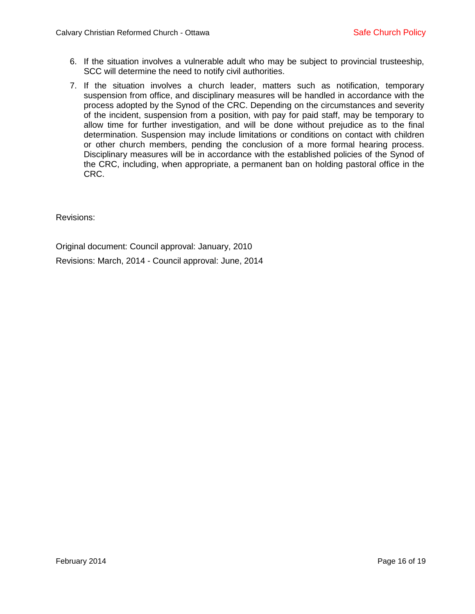- 6. If the situation involves a vulnerable adult who may be subject to provincial trusteeship, SCC will determine the need to notify civil authorities.
- 7. If the situation involves a church leader, matters such as notification, temporary suspension from office, and disciplinary measures will be handled in accordance with the process adopted by the Synod of the CRC. Depending on the circumstances and severity of the incident, suspension from a position, with pay for paid staff, may be temporary to allow time for further investigation, and will be done without prejudice as to the final determination. Suspension may include limitations or conditions on contact with children or other church members, pending the conclusion of a more formal hearing process. Disciplinary measures will be in accordance with the established policies of the Synod of the CRC, including, when appropriate, a permanent ban on holding pastoral office in the CRC.

Revisions:

Original document: Council approval: January, 2010

Revisions: March, 2014 - Council approval: June, 2014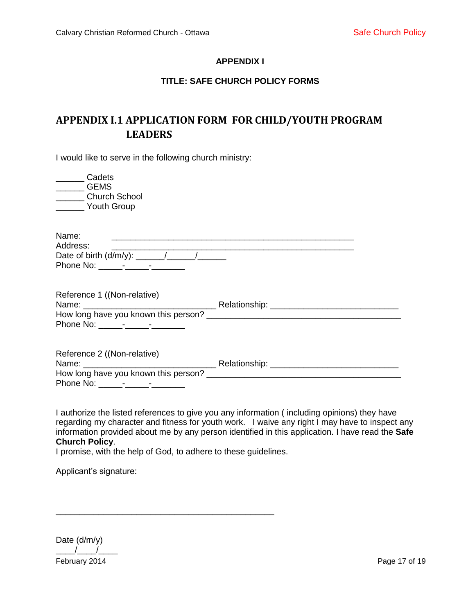#### **APPENDIX I**

#### **TITLE: SAFE CHURCH POLICY FORMS**

# <span id="page-16-0"></span>**APPENDIX I.1 APPLICATION FORM FOR CHILD/YOUTH PROGRAM LEADERS**

I would like to serve in the following church ministry:

| Cadets<br><b>GEMS</b><br>________ Church School<br>Youth Group      |  |
|---------------------------------------------------------------------|--|
| Name:<br>Address:                                                   |  |
| Reference 1 ((Non-relative)                                         |  |
| Reference 2 ((Non-relative)<br>How long have you known this person? |  |

I authorize the listed references to give you any information ( including opinions) they have regarding my character and fitness for youth work. I waive any right I may have to inspect any information provided about me by any person identified in this application. I have read the **Safe Church Policy**.

I promise, with the help of God, to adhere to these guidelines.

\_\_\_\_\_\_\_\_\_\_\_\_\_\_\_\_\_\_\_\_\_\_\_\_\_\_\_\_\_\_\_\_\_\_\_\_\_\_\_\_\_\_\_\_\_\_

Applicant's signature:

February 2014 **Page 17 of 19** Date (d/m/y)  $\frac{1}{2}$   $\frac{1}{2}$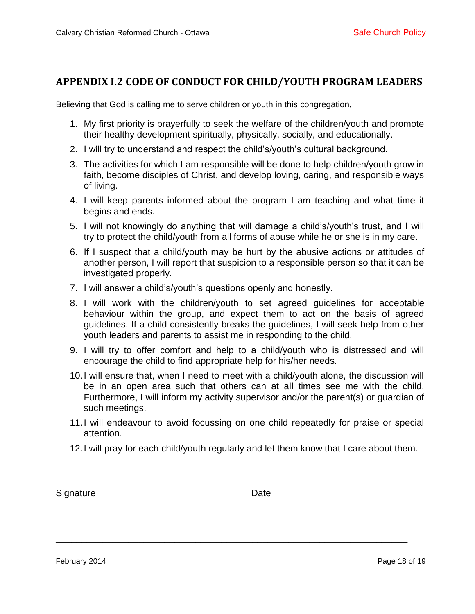## <span id="page-17-0"></span>**APPENDIX I.2 CODE OF CONDUCT FOR CHILD/YOUTH PROGRAM LEADERS**

Believing that God is calling me to serve children or youth in this congregation,

- 1. My first priority is prayerfully to seek the welfare of the children/youth and promote their healthy development spiritually, physically, socially, and educationally.
- 2. I will try to understand and respect the child's/youth's cultural background.
- 3. The activities for which I am responsible will be done to help children/youth grow in faith, become disciples of Christ, and develop loving, caring, and responsible ways of living.
- 4. I will keep parents informed about the program I am teaching and what time it begins and ends.
- 5. I will not knowingly do anything that will damage a child's/youth's trust, and I will try to protect the child/youth from all forms of abuse while he or she is in my care.
- 6. If I suspect that a child/youth may be hurt by the abusive actions or attitudes of another person, I will report that suspicion to a responsible person so that it can be investigated properly.
- 7. I will answer a child's/youth's questions openly and honestly.
- 8. I will work with the children/youth to set agreed guidelines for acceptable behaviour within the group, and expect them to act on the basis of agreed guidelines. If a child consistently breaks the guidelines, I will seek help from other youth leaders and parents to assist me in responding to the child.
- 9. I will try to offer comfort and help to a child/youth who is distressed and will encourage the child to find appropriate help for his/her needs.
- 10.I will ensure that, when I need to meet with a child/youth alone, the discussion will be in an open area such that others can at all times see me with the child. Furthermore, I will inform my activity supervisor and/or the parent(s) or guardian of such meetings.
- 11.I will endeavour to avoid focussing on one child repeatedly for praise or special attention.
- 12.I will pray for each child/youth regularly and let them know that I care about them.

\_\_\_\_\_\_\_\_\_\_\_\_\_\_\_\_\_\_\_\_\_\_\_\_\_\_\_\_\_\_\_\_\_\_\_\_\_\_\_\_\_\_\_\_\_\_\_\_\_\_\_\_\_\_\_\_\_\_\_\_\_\_\_\_\_\_\_\_

\_\_\_\_\_\_\_\_\_\_\_\_\_\_\_\_\_\_\_\_\_\_\_\_\_\_\_\_\_\_\_\_\_\_\_\_\_\_\_\_\_\_\_\_\_\_\_\_\_\_\_\_\_\_\_\_\_\_\_\_\_\_\_\_\_\_\_\_

Signature Date Date